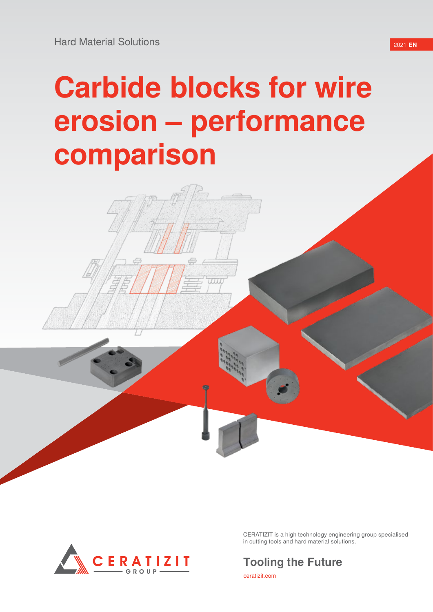# **Carbide blocks for wire erosion – performance comparison**



CERATIZIT is a high technology engineering group specialised in cutting tools and hard material solutions.

# **Tooling the Future**

ceratizit.com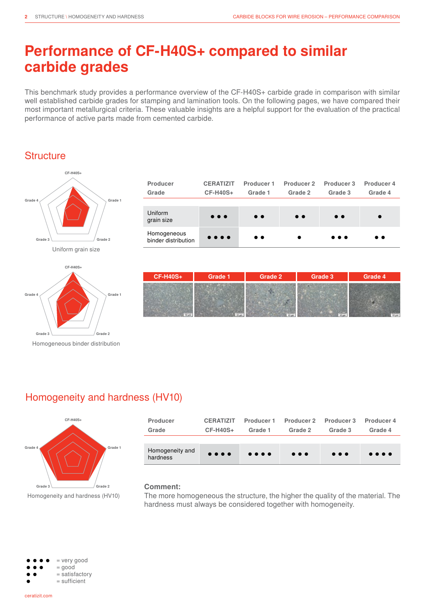# **Performance of CF-H40S+ compared to similar carbide grades**

This benchmark study provides a performance overview of the CF-H40S+ carbide grade in comparison with similar well established carbide grades for stamping and lamination tools. On the following pages, we have compared their most important metallurgical criteria. These valuable insights are a helpful support for the evaluation of the practical performance of active parts made from cemented carbide.

### **Structure**





Homogeneous binder distribution

| Producer<br>Grade                  | <b>CERATIZIT</b><br><b>CF-H40S+</b> | Producer 1<br>Grade 1 | Producer 2<br>Grade 2 | Producer 3<br>Grade 3   | Producer 4<br>Grade 4 |
|------------------------------------|-------------------------------------|-----------------------|-----------------------|-------------------------|-----------------------|
|                                    |                                     |                       |                       |                         |                       |
| Uniform<br>grain size              | $\bullet\bullet\bullet$             | $\bullet$ $\bullet$   | $\bullet$ $\bullet$   | $\bullet$ $\bullet$     |                       |
| Homogeneous<br>binder distribution | $\bullet\bullet\bullet\bullet$      | $\bullet\bullet$      |                       | $\bullet\bullet\bullet$ | $\bullet\bullet$      |

| <b>CF-H40S+</b>       | <b>Grade 1</b> | Grade 2 | Grade 3 | Grade 4 |
|-----------------------|----------------|---------|---------|---------|
|                       |                |         |         |         |
|                       |                |         |         |         |
| $\overline{10 \mu n}$ | <b>Million</b> | 10 pm   |         |         |

# Homogeneity and hardness (HV10)



Homogeneity and hardness (HV10)

| Producer                    | <b>CERATIZIT</b>               | Producer 1                     | Producer 2              | Producer 3              | Producer 4                     |
|-----------------------------|--------------------------------|--------------------------------|-------------------------|-------------------------|--------------------------------|
| Grade                       | $CF-H40S+$                     | Grade 1                        | Grade 2                 | Grade 3                 | Grade 4                        |
|                             |                                |                                |                         |                         |                                |
| Homogeneity and<br>hardness | $\bullet\bullet\bullet\bullet$ | $\bullet\bullet\bullet\bullet$ | $\bullet\bullet\bullet$ | $\bullet\bullet\bullet$ | $\bullet\bullet\bullet\bullet$ |

#### **Comment:**

The more homogeneous the structure, the higher the quality of the material. The hardness must always be considered together with homogeneity.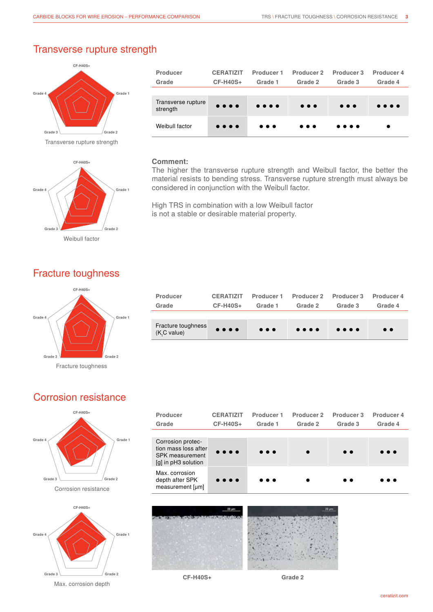#### Transverse rupture strength



Transverse rupture strength



| Producer                       | <b>CERATIZIT</b>               | Producer 1                     | Producer 2              | Producer 3                     | Producer 4                     |
|--------------------------------|--------------------------------|--------------------------------|-------------------------|--------------------------------|--------------------------------|
| Grade                          | <b>CF-H40S+</b>                | Grade 1                        | Grade 2                 | Grade 3                        | Grade 4                        |
|                                |                                |                                |                         |                                |                                |
| Transverse rupture<br>strength | $\bullet\bullet\bullet\bullet$ | $\bullet\bullet\bullet\bullet$ | $\bullet\bullet\bullet$ | $\bullet\bullet\bullet$        | $\bullet\bullet\bullet\bullet$ |
| Weibull factor                 | $\bullet\bullet\bullet\bullet$ | $\bullet\bullet\bullet$        | $\bullet\bullet\bullet$ | $\bullet\bullet\bullet\bullet$ |                                |

#### **Comment:**

The higher the transverse rupture strength and Weibull factor, the better the material resists to bending stress. Transverse rupture strength must always be considered in conjunction with the Weibull factor.

High TRS in combination with a low Weibull factor is not a stable or desirable material property.

## Fracture toughness



● ● ● ● ● ● ● ● ● ● ● ● ● ● ● ● ● **Producer CERATIZIT Producer 1 Producer 2 Producer 3 Producer 4 Grade CF-H40S+ Grade 1 Grade 2 Grade 3 Grade 4** Fracture toughness (K<sub>ı</sub>C value)

## Corrosion resistance





Max. corrosion depth

| Producer<br>Grade                                                                   | <b>CERATIZIT</b><br><b>CF-H40S+</b>                                      | Producer 1<br>Grade 1   | Producer <sub>2</sub><br>Grade 2 | Producer 3<br>Grade 3 | Producer 4<br>Grade 4   |
|-------------------------------------------------------------------------------------|--------------------------------------------------------------------------|-------------------------|----------------------------------|-----------------------|-------------------------|
|                                                                                     |                                                                          |                         |                                  |                       |                         |
| Corrosion protec-<br>tion mass loss after<br>SPK measurement<br>[g] in pH3 solution | $\bullet\hspace{0.1cm}\bullet\hspace{0.1cm}\bullet\hspace{0.1cm}\bullet$ | $\bullet\bullet\bullet$ |                                  | $\bullet$ $\bullet$   | $\bullet\bullet\bullet$ |
| Max. corrosion<br>depth after SPK<br>measurement [µm]                               | $\bullet\bullet\bullet\bullet$                                           | $\bullet\bullet\bullet$ |                                  | $\bullet$ $\bullet$   | .                       |



**CF-H40S+ Grade 2**